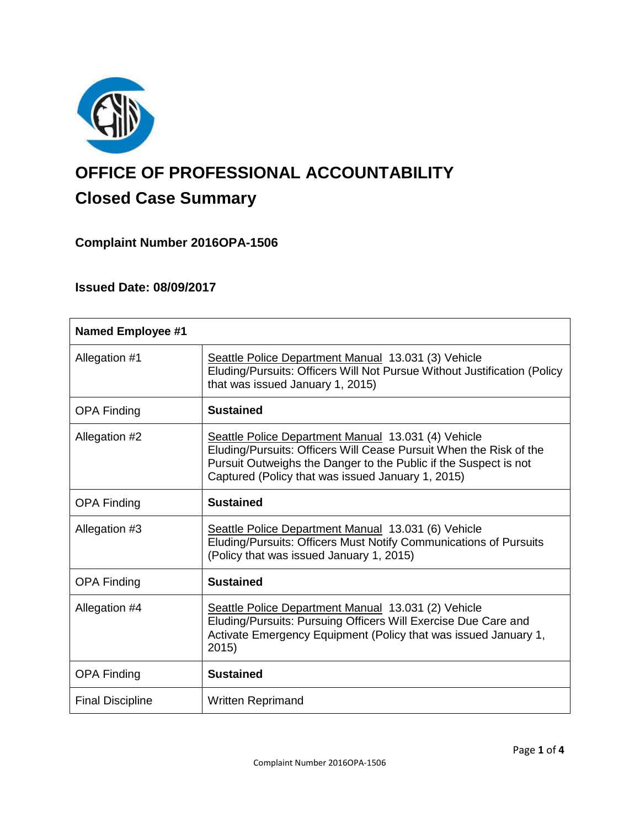

# **OFFICE OF PROFESSIONAL ACCOUNTABILITY Closed Case Summary**

## **Complaint Number 2016OPA-1506**

## **Issued Date: 08/09/2017**

| <b>Named Employee #1</b> |                                                                                                                                                                                                                                                    |
|--------------------------|----------------------------------------------------------------------------------------------------------------------------------------------------------------------------------------------------------------------------------------------------|
| Allegation #1            | Seattle Police Department Manual 13.031 (3) Vehicle<br>Eluding/Pursuits: Officers Will Not Pursue Without Justification (Policy<br>that was issued January 1, 2015)                                                                                |
| <b>OPA Finding</b>       | <b>Sustained</b>                                                                                                                                                                                                                                   |
| Allegation #2            | Seattle Police Department Manual 13.031 (4) Vehicle<br>Eluding/Pursuits: Officers Will Cease Pursuit When the Risk of the<br>Pursuit Outweighs the Danger to the Public if the Suspect is not<br>Captured (Policy that was issued January 1, 2015) |
| <b>OPA Finding</b>       | <b>Sustained</b>                                                                                                                                                                                                                                   |
| Allegation #3            | Seattle Police Department Manual 13.031 (6) Vehicle<br>Eluding/Pursuits: Officers Must Notify Communications of Pursuits<br>(Policy that was issued January 1, 2015)                                                                               |
| <b>OPA Finding</b>       | <b>Sustained</b>                                                                                                                                                                                                                                   |
| Allegation #4            | Seattle Police Department Manual 13.031 (2) Vehicle<br>Eluding/Pursuits: Pursuing Officers Will Exercise Due Care and<br>Activate Emergency Equipment (Policy that was issued January 1,<br>2015)                                                  |
| <b>OPA Finding</b>       | <b>Sustained</b>                                                                                                                                                                                                                                   |
| <b>Final Discipline</b>  | <b>Written Reprimand</b>                                                                                                                                                                                                                           |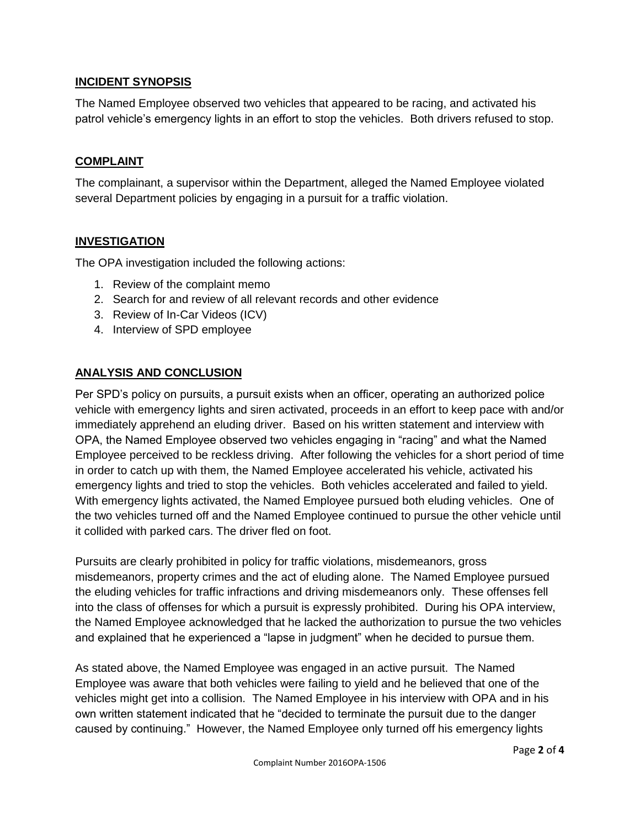## **INCIDENT SYNOPSIS**

The Named Employee observed two vehicles that appeared to be racing, and activated his patrol vehicle's emergency lights in an effort to stop the vehicles. Both drivers refused to stop.

## **COMPLAINT**

The complainant, a supervisor within the Department, alleged the Named Employee violated several Department policies by engaging in a pursuit for a traffic violation.

## **INVESTIGATION**

The OPA investigation included the following actions:

- 1. Review of the complaint memo
- 2. Search for and review of all relevant records and other evidence
- 3. Review of In-Car Videos (ICV)
- 4. Interview of SPD employee

## **ANALYSIS AND CONCLUSION**

Per SPD's policy on pursuits, a pursuit exists when an officer, operating an authorized police vehicle with emergency lights and siren activated, proceeds in an effort to keep pace with and/or immediately apprehend an eluding driver. Based on his written statement and interview with OPA, the Named Employee observed two vehicles engaging in "racing" and what the Named Employee perceived to be reckless driving. After following the vehicles for a short period of time in order to catch up with them, the Named Employee accelerated his vehicle, activated his emergency lights and tried to stop the vehicles. Both vehicles accelerated and failed to yield. With emergency lights activated, the Named Employee pursued both eluding vehicles. One of the two vehicles turned off and the Named Employee continued to pursue the other vehicle until it collided with parked cars. The driver fled on foot.

Pursuits are clearly prohibited in policy for traffic violations, misdemeanors, gross misdemeanors, property crimes and the act of eluding alone. The Named Employee pursued the eluding vehicles for traffic infractions and driving misdemeanors only. These offenses fell into the class of offenses for which a pursuit is expressly prohibited. During his OPA interview, the Named Employee acknowledged that he lacked the authorization to pursue the two vehicles and explained that he experienced a "lapse in judgment" when he decided to pursue them.

As stated above, the Named Employee was engaged in an active pursuit. The Named Employee was aware that both vehicles were failing to yield and he believed that one of the vehicles might get into a collision. The Named Employee in his interview with OPA and in his own written statement indicated that he "decided to terminate the pursuit due to the danger caused by continuing." However, the Named Employee only turned off his emergency lights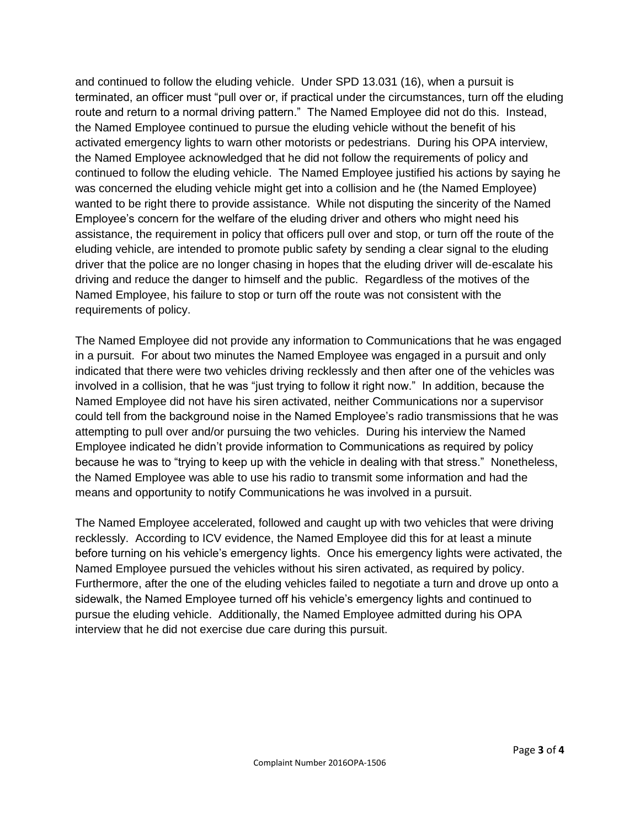and continued to follow the eluding vehicle. Under SPD 13.031 (16), when a pursuit is terminated, an officer must "pull over or, if practical under the circumstances, turn off the eluding route and return to a normal driving pattern." The Named Employee did not do this. Instead, the Named Employee continued to pursue the eluding vehicle without the benefit of his activated emergency lights to warn other motorists or pedestrians. During his OPA interview, the Named Employee acknowledged that he did not follow the requirements of policy and continued to follow the eluding vehicle. The Named Employee justified his actions by saying he was concerned the eluding vehicle might get into a collision and he (the Named Employee) wanted to be right there to provide assistance. While not disputing the sincerity of the Named Employee's concern for the welfare of the eluding driver and others who might need his assistance, the requirement in policy that officers pull over and stop, or turn off the route of the eluding vehicle, are intended to promote public safety by sending a clear signal to the eluding driver that the police are no longer chasing in hopes that the eluding driver will de-escalate his driving and reduce the danger to himself and the public. Regardless of the motives of the Named Employee, his failure to stop or turn off the route was not consistent with the requirements of policy.

The Named Employee did not provide any information to Communications that he was engaged in a pursuit. For about two minutes the Named Employee was engaged in a pursuit and only indicated that there were two vehicles driving recklessly and then after one of the vehicles was involved in a collision, that he was "just trying to follow it right now." In addition, because the Named Employee did not have his siren activated, neither Communications nor a supervisor could tell from the background noise in the Named Employee's radio transmissions that he was attempting to pull over and/or pursuing the two vehicles. During his interview the Named Employee indicated he didn't provide information to Communications as required by policy because he was to "trying to keep up with the vehicle in dealing with that stress." Nonetheless, the Named Employee was able to use his radio to transmit some information and had the means and opportunity to notify Communications he was involved in a pursuit.

The Named Employee accelerated, followed and caught up with two vehicles that were driving recklessly. According to ICV evidence, the Named Employee did this for at least a minute before turning on his vehicle's emergency lights. Once his emergency lights were activated, the Named Employee pursued the vehicles without his siren activated, as required by policy. Furthermore, after the one of the eluding vehicles failed to negotiate a turn and drove up onto a sidewalk, the Named Employee turned off his vehicle's emergency lights and continued to pursue the eluding vehicle. Additionally, the Named Employee admitted during his OPA interview that he did not exercise due care during this pursuit.